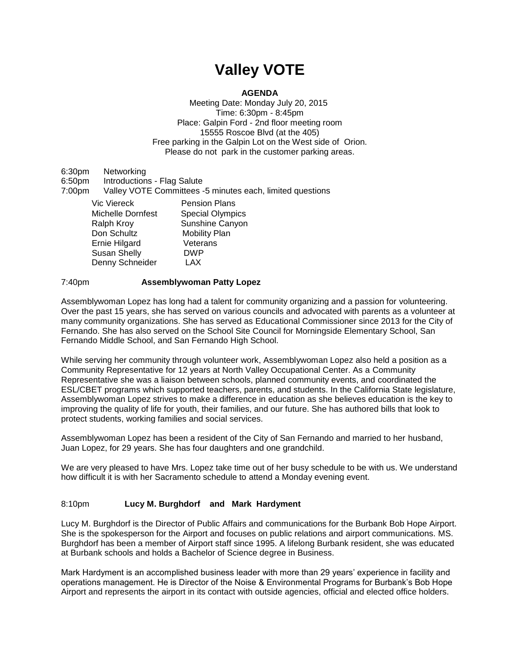# **Valley VOTE**

## **AGENDA**

Meeting Date: Monday July 20, 2015 Time: 6:30pm - 8:45pm Place: Galpin Ford - 2nd floor meeting room 15555 Roscoe Blvd (at the 405) Free parking in the Galpin Lot on the West side of Orion. Please do not park in the customer parking areas.

6:30pm Networking 6:50pm Introductions - Flag Salute 7:00pm Valley VOTE Committees -5 minutes each, limited questions Vic Viereck **Pension Plans** Michelle Dornfest Special Olympics Ralph Kroy Sunshine Canyon Don Schultz<br>
Ernie Hilgard

Ueterans Ernie Hilgard Veterans<br>Susan Shelly Veterans Susan Shelly Denny Schneider LAX

### 7:40pm **Assemblywoman Patty Lopez**

Assemblywoman Lopez has long had a talent for community organizing and a passion for volunteering. Over the past 15 years, she has served on various councils and advocated with parents as a volunteer at many community organizations. She has served as Educational Commissioner since 2013 for the City of Fernando. She has also served on the School Site Council for Morningside Elementary School, San Fernando Middle School, and San Fernando High School.

While serving her community through volunteer work, Assemblywoman Lopez also held a position as a Community Representative for 12 years at North Valley Occupational Center. As a Community Representative she was a liaison between schools, planned community events, and coordinated the ESL/CBET programs which supported teachers, parents, and students. In the California State legislature, Assemblywoman Lopez strives to make a difference in education as she believes education is the key to improving the quality of life for youth, their families, and our future. She has authored bills that look to protect students, working families and social services.

Assemblywoman Lopez has been a resident of the City of San Fernando and married to her husband, Juan Lopez, for 29 years. She has four daughters and one grandchild.

We are very pleased to have Mrs. Lopez take time out of her busy schedule to be with us. We understand how difficult it is with her Sacramento schedule to attend a Monday evening event.

### 8:10pm **Lucy M. Burghdorf and Mark Hardyment**

Lucy M. Burghdorf is the Director of Public Affairs and communications for the Burbank Bob Hope Airport. She is the spokesperson for the Airport and focuses on public relations and airport communications. MS. Burghdorf has been a member of Airport staff since 1995. A lifelong Burbank resident, she was educated at Burbank schools and holds a Bachelor of Science degree in Business.

Mark Hardyment is an accomplished business leader with more than 29 years' experience in facility and operations management. He is Director of the Noise & Environmental Programs for Burbank's Bob Hope Airport and represents the airport in its contact with outside agencies, official and elected office holders.